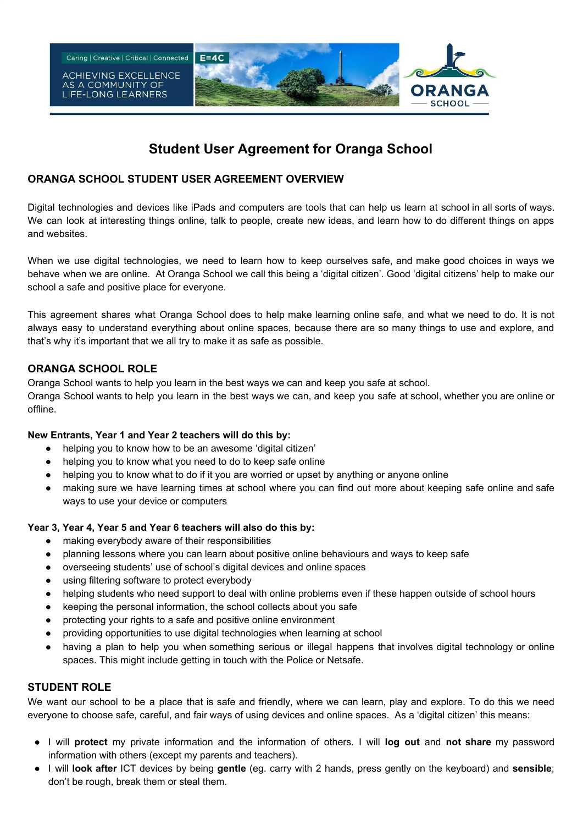

# **Student User Agreement for Oranga School**

### **ORANGA SCHOOL STUDENT USER AGREEMENT OVERVIEW**

Digital technologies and devices like iPads and computers are tools that can help us learn at school in all sorts of ways. We can look at interesting things online, talk to people, create new ideas, and learn how to do different things on apps and websites.

When we use digital technologies, we need to learn how to keep ourselves safe, and make good choices in ways we behave when we are online. At Oranga School we call this being a 'digital citizen'. Good 'digital citizens' help to make our school a safe and positive place for everyone.

This agreement shares what Oranga School does to help make learning online safe, and what we need to do. It is not always easy to understand everything about online spaces, because there are so many things to use and explore, and that's why it's important that we all try to make it as safe as possible.

# **ORANGA SCHOOL ROLE**

Oranga School wants to help you learn in the best ways we can and keep you safe at school.

Oranga School wants to help you learn in the best ways we can, and keep you safe at school, whether you are online or offline.

#### **New Entrants, Year 1 and Year 2 teachers will do this by:**

- helping you to know how to be an awesome 'digital citizen'
- helping you to know what you need to do to keep safe online
- helping you to know what to do if it you are worried or upset by anything or anyone online
- making sure we have learning times at school where you can find out more about keeping safe online and safe ways to use your device or computers

#### **Year 3, Year 4, Year 5 and Year 6 teachers will also do this by:**

- making everybody aware of their responsibilities
- planning lessons where you can learn about positive online behaviours and ways to keep safe
- overseeing students' use of school's digital devices and online spaces
- using filtering software to protect everybody
- helping students who need support to deal with online problems even if these happen outside of school hours
- keeping the personal information, the school collects about you safe
- protecting your rights to a safe and positive online environment
- providing opportunities to use digital technologies when learning at school
- having a plan to help you when something serious or illegal happens that involves digital technology or online spaces. This might include getting in touch with the Police or Netsafe.

#### **STUDENT ROLE**

We want our school to be a place that is safe and friendly, where we can learn, play and explore. To do this we need everyone to choose safe, careful, and fair ways of using devices and online spaces. As a 'digital citizen' this means:

- I will **protect** my private information and the information of others. I will **log out** and **not share** my password information with others (except my parents and teachers).
- I will **look after** ICT devices by being **gentle** (eg. carry with 2 hands, press gently on the keyboard) and **sensible**; don't be rough, break them or steal them.